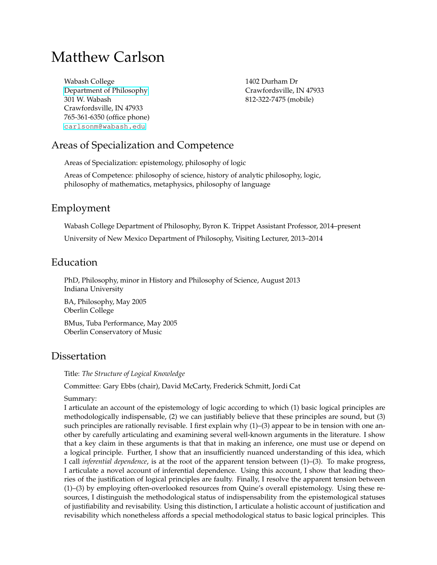# Matthew Carlson

Wabash College [Department of Philosophy](http://www.wabash.edu/academics/philosophy/) 301 W. Wabash Crawfordsville, IN 47933 765-361-6350 (office phone) [carlsonm@wabash.edu](mailto:carlsonm@wabash.edu)

1402 Durham Dr Crawfordsville, IN 47933 812-322-7475 (mobile)

# Areas of Specialization and Competence

Areas of Specialization: epistemology, philosophy of logic

Areas of Competence: philosophy of science, history of analytic philosophy, logic, philosophy of mathematics, metaphysics, philosophy of language

### Employment

Wabash College Department of Philosophy, Byron K. Trippet Assistant Professor, 2014–present University of New Mexico Department of Philosophy, Visiting Lecturer, 2013–2014

### Education

PhD, Philosophy, minor in History and Philosophy of Science, August 2013 Indiana University

BA, Philosophy, May 2005 Oberlin College BMus, Tuba Performance, May 2005 Oberlin Conservatory of Music

### **Dissertation**

Title: *The Structure of Logical Knowledge*

Committee: Gary Ebbs (chair), David McCarty, Frederick Schmitt, Jordi Cat

#### Summary:

I articulate an account of the epistemology of logic according to which (1) basic logical principles are methodologically indispensable, (2) we can justifiably believe that these principles are sound, but (3) such principles are rationally revisable. I first explain why (1)–(3) appear to be in tension with one another by carefully articulating and examining several well-known arguments in the literature. I show that a key claim in these arguments is that that in making an inference, one must use or depend on a logical principle. Further, I show that an insufficiently nuanced understanding of this idea, which I call *inferential dependence*, is at the root of the apparent tension between (1)–(3). To make progress, I articulate a novel account of inferential dependence. Using this account, I show that leading theories of the justification of logical principles are faulty. Finally, I resolve the apparent tension between (1)–(3) by employing often-overlooked resources from Quine's overall epistemology. Using these resources, I distinguish the methodological status of indispensability from the epistemological statuses of justifiability and revisability. Using this distinction, I articulate a holistic account of justification and revisability which nonetheless affords a special methodological status to basic logical principles. This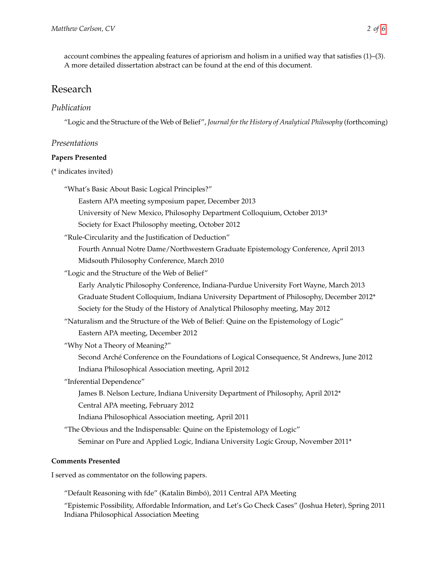account combines the appealing features of apriorism and holism in a unified way that satisfies (1)–(3). A more detailed dissertation abstract can be found at the end of this document.

### Research

#### *Publication*

"Logic and the Structure of the Web of Belief", *Journal for the History of Analytical Philosophy* (forthcoming)

#### *Presentations*

#### **Papers Presented**

#### (\* indicates invited)

"What's Basic About Basic Logical Principles?"

Eastern APA meeting symposium paper, December 2013

University of New Mexico, Philosophy Department Colloquium, October 2013\*

Society for Exact Philosophy meeting, October 2012

"Rule-Circularity and the Justification of Deduction"

Fourth Annual Notre Dame/Northwestern Graduate Epistemology Conference, April 2013 Midsouth Philosophy Conference, March 2010

"Logic and the Structure of the Web of Belief"

Early Analytic Philosophy Conference, Indiana-Purdue University Fort Wayne, March 2013 Graduate Student Colloquium, Indiana University Department of Philosophy, December 2012\* Society for the Study of the History of Analytical Philosophy meeting, May 2012

"Naturalism and the Structure of the Web of Belief: Quine on the Epistemology of Logic"

Eastern APA meeting, December 2012

"Why Not a Theory of Meaning?"

Second Arché Conference on the Foundations of Logical Consequence, St Andrews, June 2012 Indiana Philosophical Association meeting, April 2012

"Inferential Dependence"

James B. Nelson Lecture, Indiana University Department of Philosophy, April 2012\*

- Central APA meeting, February 2012
- Indiana Philosophical Association meeting, April 2011

"The Obvious and the Indispensable: Quine on the Epistemology of Logic"

Seminar on Pure and Applied Logic, Indiana University Logic Group, November 2011\*

#### **Comments Presented**

I served as commentator on the following papers.

"Default Reasoning with fde" (Katalin Bimbó), 2011 Central APA Meeting

"Epistemic Possibility, Affordable Information, and Let's Go Check Cases" (Joshua Heter), Spring 2011 Indiana Philosophical Association Meeting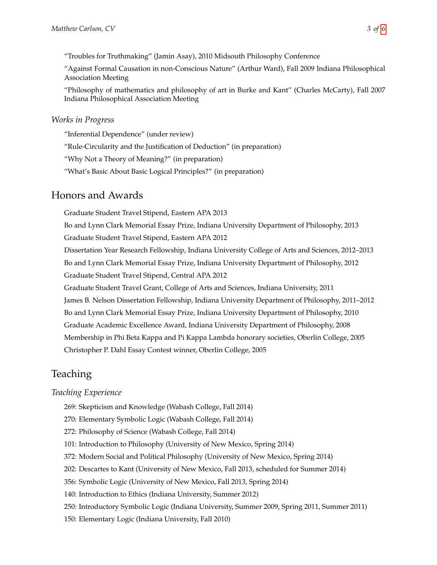"Troubles for Truthmaking" (Jamin Asay), 2010 Midsouth Philosophy Conference

"Against Formal Causation in non-Conscious Nature" (Arthur Ward), Fall 2009 Indiana Philosophical Association Meeting

"Philosophy of mathematics and philosophy of art in Burke and Kant" (Charles McCarty), Fall 2007 Indiana Philosophical Association Meeting

#### *Works in Progress*

"Inferential Dependence" (under review) "Rule-Circularity and the Justification of Deduction" (in preparation) "Why Not a Theory of Meaning?" (in preparation) "What's Basic About Basic Logical Principles?" (in preparation)

# Honors and Awards

Graduate Student Travel Stipend, Eastern APA 2013 Bo and Lynn Clark Memorial Essay Prize, Indiana University Department of Philosophy, 2013 Graduate Student Travel Stipend, Eastern APA 2012 Dissertation Year Research Fellowship, Indiana University College of Arts and Sciences, 2012–2013 Bo and Lynn Clark Memorial Essay Prize, Indiana University Department of Philosophy, 2012 Graduate Student Travel Stipend, Central APA 2012 Graduate Student Travel Grant, College of Arts and Sciences, Indiana University, 2011 James B. Nelson Dissertation Fellowship, Indiana University Department of Philosophy, 2011–2012 Bo and Lynn Clark Memorial Essay Prize, Indiana University Department of Philosophy, 2010 Graduate Academic Excellence Award, Indiana University Department of Philosophy, 2008 Membership in Phi Beta Kappa and Pi Kappa Lambda honorary societies, Oberlin College, 2005 Christopher P. Dahl Essay Contest winner, Oberlin College, 2005

# **Teaching**

### *Teaching Experience*

- 269: Skepticism and Knowledge (Wabash College, Fall 2014)
- 270: Elementary Symbolic Logic (Wabash College, Fall 2014)
- 272: Philosophy of Science (Wabash College, Fall 2014)
- 101: Introduction to Philosophy (University of New Mexico, Spring 2014)
- 372: Modern Social and Political Philosophy (University of New Mexico, Spring 2014)
- 202: Descartes to Kant (University of New Mexico, Fall 2013, scheduled for Summer 2014)
- 356: Symbolic Logic (University of New Mexico, Fall 2013, Spring 2014)
- 140: Introduction to Ethics (Indiana University, Summer 2012)
- 250: Introductory Symbolic Logic (Indiana University, Summer 2009, Spring 2011, Summer 2011)
- 150: Elementary Logic (Indiana University, Fall 2010)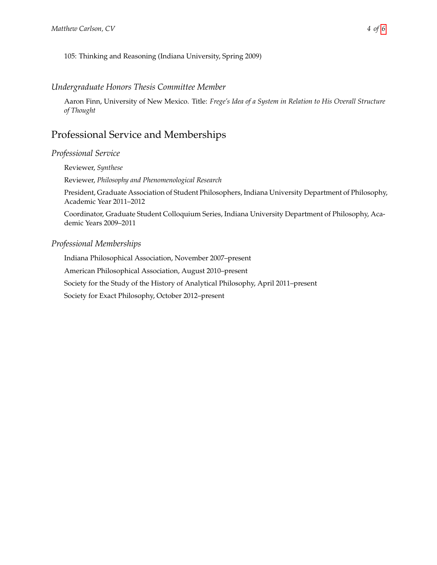#### *Undergraduate Honors Thesis Committee Member*

Aaron Finn, University of New Mexico. Title: *Frege's Idea of a System in Relation to His Overall Structure of Thought*

### Professional Service and Memberships

#### *Professional Service*

Reviewer, *Synthese*

Reviewer, *Philosophy and Phenomenological Research*

President, Graduate Association of Student Philosophers, Indiana University Department of Philosophy, Academic Year 2011–2012

Coordinator, Graduate Student Colloquium Series, Indiana University Department of Philosophy, Academic Years 2009–2011

#### *Professional Memberships*

Indiana Philosophical Association, November 2007–present American Philosophical Association, August 2010–present Society for the Study of the History of Analytical Philosophy, April 2011–present Society for Exact Philosophy, October 2012–present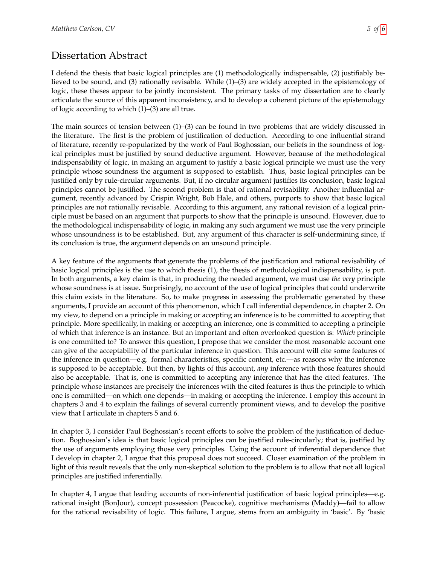### Dissertation Abstract

I defend the thesis that basic logical principles are (1) methodologically indispensable, (2) justifiably believed to be sound, and (3) rationally revisable. While (1)–(3) are widely accepted in the epistemology of logic, these theses appear to be jointly inconsistent. The primary tasks of my dissertation are to clearly articulate the source of this apparent inconsistency, and to develop a coherent picture of the epistemology of logic according to which (1)–(3) are all true.

The main sources of tension between (1)–(3) can be found in two problems that are widely discussed in the literature. The first is the problem of justification of deduction. According to one influential strand of literature, recently re-popularized by the work of Paul Boghossian, our beliefs in the soundness of logical principles must be justified by sound deductive argument. However, because of the methodological indispensability of logic, in making an argument to justify a basic logical principle we must use the very principle whose soundness the argument is supposed to establish. Thus, basic logical principles can be justified only by rule-circular arguments. But, if no circular argument justifies its conclusion, basic logical principles cannot be justified. The second problem is that of rational revisability. Another influential argument, recently advanced by Crispin Wright, Bob Hale, and others, purports to show that basic logical principles are not rationally revisable. According to this argument, any rational revision of a logical principle must be based on an argument that purports to show that the principle is unsound. However, due to the methodological indispensability of logic, in making any such argument we must use the very principle whose unsoundness is to be established. But, any argument of this character is self-undermining since, if its conclusion is true, the argument depends on an unsound principle.

A key feature of the arguments that generate the problems of the justification and rational revisability of basic logical principles is the use to which thesis (1), the thesis of methodological indispensability, is put. In both arguments, a key claim is that, in producing the needed argument, we must use *the very* principle whose soundness is at issue. Surprisingly, no account of the use of logical principles that could underwrite this claim exists in the literature. So, to make progress in assessing the problematic generated by these arguments, I provide an account of this phenomenon, which I call inferential dependence, in chapter 2. On my view, to depend on a principle in making or accepting an inference is to be committed to accepting that principle. More specifically, in making or accepting an inference, one is committed to accepting a principle of which that inference is an instance. But an important and often overlooked question is: *Which* principle is one committed to? To answer this question, I propose that we consider the most reasonable account one can give of the acceptability of the particular inference in question. This account will cite some features of the inference in question—e.g. formal characteristics, specific content, etc.—as reasons why the inference is supposed to be acceptable. But then, by lights of this account, *any* inference with those features should also be acceptable. That is, one is committed to accepting any inference that has the cited features. The principle whose instances are precisely the inferences with the cited features is thus the principle to which one is committed—on which one depends—in making or accepting the inference. I employ this account in chapters 3 and 4 to explain the failings of several currently prominent views, and to develop the positive view that I articulate in chapters 5 and 6.

In chapter 3, I consider Paul Boghossian's recent efforts to solve the problem of the justification of deduction. Boghossian's idea is that basic logical principles can be justified rule-circularly; that is, justified by the use of arguments employing those very principles. Using the account of inferential dependence that I develop in chapter 2, I argue that this proposal does not succeed. Closer examination of the problem in light of this result reveals that the only non-skeptical solution to the problem is to allow that not all logical principles are justified inferentially.

In chapter 4, I argue that leading accounts of non-inferential justification of basic logical principles—e.g. rational insight (BonJour), concept possession (Peacocke), cognitive mechanisms (Maddy)—fail to allow for the rational revisability of logic. This failure, I argue, stems from an ambiguity in 'basic'. By 'basic